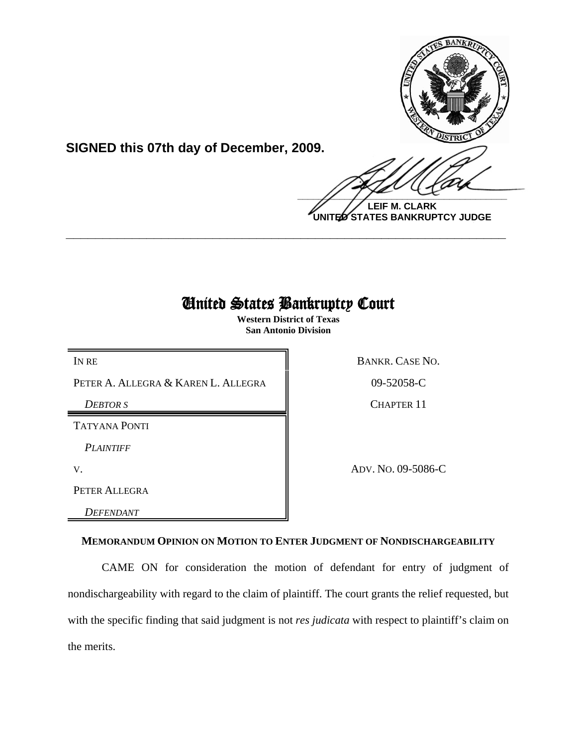

**SIGNED this 07th day of December, 2009.**

 $\frac{1}{2}$ 

**LEIF M. CLARK UNITED STATES BANKRUPTCY JUDGE**

## United States Bankruptcy Court

**\_\_\_\_\_\_\_\_\_\_\_\_\_\_\_\_\_\_\_\_\_\_\_\_\_\_\_\_\_\_\_\_\_\_\_\_\_\_\_\_\_\_\_\_\_\_\_\_\_\_\_\_\_\_\_\_\_\_\_\_**

**Western District of Texas San Antonio Division**

PETER A. ALLEGRA & KAREN L. ALLEGRA  $\parallel$  09-52058-C

TATYANA PONTI

*PLAINTIFF* 

PETER ALLEGRA

*DEFENDANT* 

IN RE BANKR. CASE NO.

**DEBTOR S** CHAPTER 11

V. ADV. NO. 09-5086-C

## **MEMORANDUM OPINION ON MOTION TO ENTER JUDGMENT OF NONDISCHARGEABILITY**

CAME ON for consideration the motion of defendant for entry of judgment of nondischargeability with regard to the claim of plaintiff. The court grants the relief requested, but with the specific finding that said judgment is not *res judicata* with respect to plaintiff's claim on the merits.